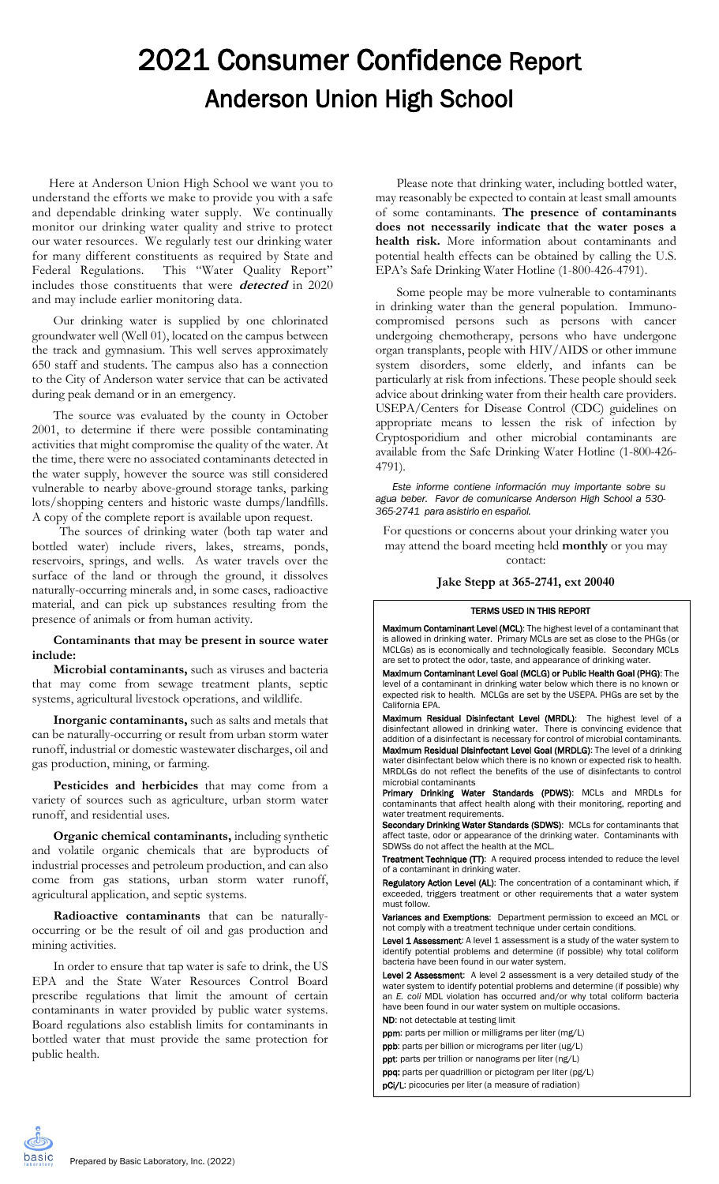# 2021 Consumer Confidence Report Anderson Union High School

Here at Anderson Union High School we want you to understand the efforts we make to provide you with a safe and dependable drinking water supply. We continually monitor our drinking water quality and strive to protect our water resources. We regularly test our drinking water for many different constituents as required by State and Federal Regulations. This "Water Quality Report" includes those constituents that were **detected** in 2020 and may include earlier monitoring data.

Our drinking water is supplied by one chlorinated groundwater well (Well 01), located on the campus between the track and gymnasium. This well serves approximately 650 staff and students. The campus also has a connection to the City of Anderson water service that can be activated during peak demand or in an emergency.

The source was evaluated by the county in October 2001, to determine if there were possible contaminating activities that might compromise the quality of the water. At the time, there were no associated contaminants detected in the water supply, however the source was still considered vulnerable to nearby above-ground storage tanks, parking lots/shopping centers and historic waste dumps/landfills. A copy of the complete report is available upon request.

 The sources of drinking water (both tap water and bottled water) include rivers, lakes, streams, ponds, reservoirs, springs, and wells. As water travels over the surface of the land or through the ground, it dissolves naturally-occurring minerals and, in some cases, radioactive material, and can pick up substances resulting from the presence of animals or from human activity.

### **Contaminants that may be present in source water include:**

**Microbial contaminants,** such as viruses and bacteria that may come from sewage treatment plants, septic systems, agricultural livestock operations, and wildlife.

**Inorganic contaminants,** such as salts and metals that can be naturally-occurring or result from urban storm water runoff, industrial or domestic wastewater discharges, oil and gas production, mining, or farming.

**Pesticides and herbicides** that may come from a variety of sources such as agriculture, urban storm water runoff, and residential uses.

**Organic chemical contaminants,** including synthetic and volatile organic chemicals that are byproducts of industrial processes and petroleum production, and can also come from gas stations, urban storm water runoff, agricultural application, and septic systems.

**Radioactive contaminants** that can be naturallyoccurring or be the result of oil and gas production and mining activities.

In order to ensure that tap water is safe to drink, the US EPA and the State Water Resources Control Board prescribe regulations that limit the amount of certain contaminants in water provided by public water systems. Board regulations also establish limits for contaminants in bottled water that must provide the same protection for public health.

Please note that drinking water, including bottled water, may reasonably be expected to contain at least small amounts of some contaminants. **The presence of contaminants does not necessarily indicate that the water poses a health risk.** More information about contaminants and potential health effects can be obtained by calling the U.S. EPA's Safe Drinking Water Hotline (1-800-426-4791).

Some people may be more vulnerable to contaminants in drinking water than the general population. Immunocompromised persons such as persons with cancer undergoing chemotherapy, persons who have undergone organ transplants, people with HIV/AIDS or other immune system disorders, some elderly, and infants can be particularly at risk from infections. These people should seek advice about drinking water from their health care providers. USEPA/Centers for Disease Control (CDC) guidelines on appropriate means to lessen the risk of infection by Cryptosporidium and other microbial contaminants are available from the Safe Drinking Water Hotline (1-800-426- 4791).

*Este informe contiene información muy importante sobre su agua beber. Favor de comunicarse Anderson High School a 530- 365-2741 para asistirlo en español.*

For questions or concerns about your drinking water you may attend the board meeting held **monthly** or you may contact:

## **Jake Stepp at 365-2741, ext 20040**

### TERMS USED IN THIS REPORT

Maximum Contaminant Level (MCL): The highest level of a contaminant that is allowed in drinking water. Primary MCLs are set as close to the PHGs (or MCLGs) as is economically and technologically feasible. Secondary MCLs are set to protect the odor, taste, and appearance of drinking water.

Maximum Contaminant Level Goal (MCLG) or Public Health Goal (PHG): The level of a contaminant in drinking water below which there is no known or expected risk to health. MCLGs are set by the USEPA. PHGs are set by the California EPA.

Maximum Residual Disinfectant Level (MRDL): The highest level of a disinfectant allowed in drinking water. There is convincing evidence that addition of a disinfectant is necessary for control of microbial contaminants. Maximum Residual Disinfectant Level Goal (MRDLG): The level of a drinking water disinfectant below which there is no known or expected risk to health. MRDLGs do not reflect the benefits of the use of disinfectants to control microbial contaminants

Primary Drinking Water Standards (PDWS): MCLs and MRDLs for contaminants that affect health along with their monitoring, reporting and water treatment requirements.

Secondary Drinking Water Standards (SDWS): MCLs for contaminants that affect taste, odor or appearance of the drinking water. Contaminants with SDWSs do not affect the health at the MCL.

Treatment Technique (TT): A required process intended to reduce the level of a contaminant in drinking water.

Regulatory Action Level (AL): The concentration of a contaminant which, if exceeded, triggers treatment or other requirements that a water system must follow.

Variances and Exemptions: Department permission to exceed an MCL or not comply with a treatment technique under certain conditions.

Level 1 Assessment: A level 1 assessment is a study of the water system to identify potential problems and determine (if possible) why total coliform bacteria have been found in our water system.

Level 2 Assessment: A level 2 assessment is a very detailed study of the water system to identify potential problems and determine (if possible) why an *E. coli* MDL violation has occurred and/or why total coliform bacteria have been found in our water system on multiple occasions. ND: not detectable at testing limit

ppm: parts per million or milligrams per liter (mg/L)

ppb: parts per billion or micrograms per liter (ug/L)

ppt: parts per trillion or nanograms per liter (ng/L)

ppq: parts per quadrillion or pictogram per liter (pg/L)

pCi/L: picocuries per liter (a measure of radiation)